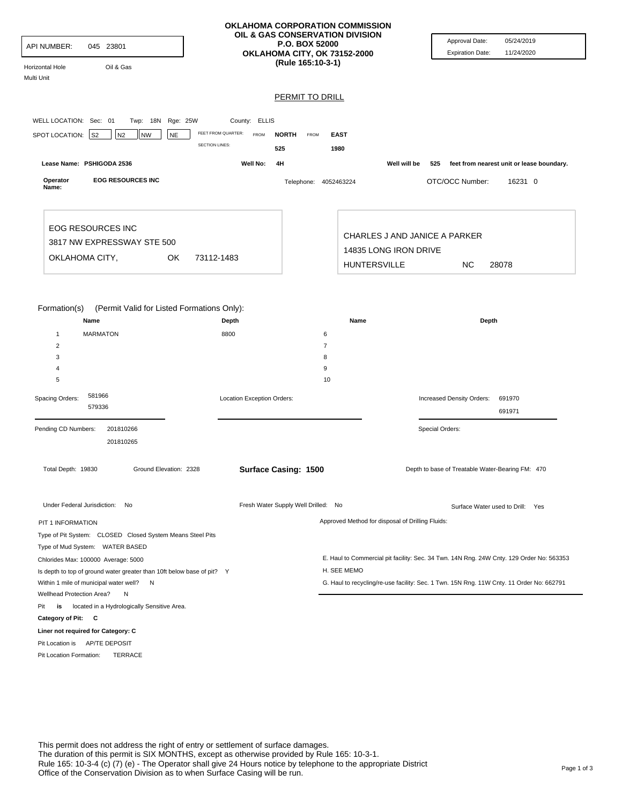| API NUMBER:<br>Horizontal Hole<br>Multi Unit             | 045 23801<br>Oil & Gas                                                                                                                                    |                                                     | OKLAHOMA CORPORATION COMMISSION<br>OIL & GAS CONSERVATION DIVISION<br><b>P.O. BOX 52000</b><br>OKLAHOMA CITY, OK 73152-2000<br>(Rule 165:10-3-1) |                                                        | Approval Date:<br><b>Expiration Date:</b>                                                | 05/24/2019<br>11/24/2020 |
|----------------------------------------------------------|-----------------------------------------------------------------------------------------------------------------------------------------------------------|-----------------------------------------------------|--------------------------------------------------------------------------------------------------------------------------------------------------|--------------------------------------------------------|------------------------------------------------------------------------------------------|--------------------------|
|                                                          |                                                                                                                                                           |                                                     | <b>PERMIT TO DRILL</b>                                                                                                                           |                                                        |                                                                                          |                          |
|                                                          |                                                                                                                                                           |                                                     |                                                                                                                                                  |                                                        |                                                                                          |                          |
| WELL LOCATION: Sec: 01                                   | Twp: 18N Rge: 25W                                                                                                                                         | County: ELLIS                                       |                                                                                                                                                  |                                                        |                                                                                          |                          |
| SPOT LOCATION: S2                                        | N <sub>2</sub><br><b>NW</b><br><b>NE</b>                                                                                                                  | FEET FROM QUARTER:<br>FROM<br><b>SECTION LINES:</b> | <b>NORTH</b><br>FROM<br>525<br>1980                                                                                                              | <b>EAST</b>                                            |                                                                                          |                          |
| Lease Name: PSHIGODA 2536                                |                                                                                                                                                           | Well No:                                            | 4H                                                                                                                                               | Well will be                                           | feet from nearest unit or lease boundary.<br>525                                         |                          |
| Operator<br>Name:                                        | <b>EOG RESOURCES INC</b>                                                                                                                                  |                                                     | Telephone: 4052463224                                                                                                                            |                                                        | OTC/OCC Number:                                                                          | 16231 0                  |
| OKLAHOMA CITY,                                           | <b>EOG RESOURCES INC</b><br>3817 NW EXPRESSWAY STE 500<br>OK                                                                                              | 73112-1483                                          |                                                                                                                                                  | CHARLES J AND JANICE A PARKER<br>14835 LONG IRON DRIVE | NC                                                                                       |                          |
|                                                          |                                                                                                                                                           |                                                     |                                                                                                                                                  | <b>HUNTERSVILLE</b>                                    | 28078                                                                                    |                          |
| Formation(s)<br>1<br>2<br>3<br>4<br>5<br>Spacing Orders: | (Permit Valid for Listed Formations Only):<br>Name<br><b>MARMATON</b><br>581966                                                                           | Depth<br>8800<br>Location Exception Orders:         | 6<br>$\overline{7}$<br>8<br>9<br>10                                                                                                              | Name                                                   | Depth<br>Increased Density Orders:                                                       | 691970                   |
|                                                          | 579336                                                                                                                                                    |                                                     |                                                                                                                                                  |                                                        |                                                                                          | 691971                   |
| Pending CD Numbers:                                      | 201810266<br>201810265                                                                                                                                    |                                                     |                                                                                                                                                  |                                                        | Special Orders:                                                                          |                          |
| Total Depth: 19830                                       | Ground Elevation: 2328                                                                                                                                    |                                                     | Surface Casing: 1500                                                                                                                             |                                                        | Depth to base of Treatable Water-Bearing FM: 470                                         |                          |
|                                                          | Under Federal Jurisdiction: No                                                                                                                            |                                                     | Fresh Water Supply Well Drilled: No                                                                                                              |                                                        | Surface Water used to Drill: Yes                                                         |                          |
| PIT 1 INFORMATION                                        | Type of Pit System: CLOSED Closed System Means Steel Pits                                                                                                 |                                                     |                                                                                                                                                  | Approved Method for disposal of Drilling Fluids:       |                                                                                          |                          |
|                                                          |                                                                                                                                                           |                                                     |                                                                                                                                                  |                                                        | E. Haul to Commercial pit facility: Sec. 34 Twn. 14N Rng. 24W Cnty. 129 Order No: 563353 |                          |
| Type of Mud System: WATER BASED                          |                                                                                                                                                           |                                                     |                                                                                                                                                  |                                                        |                                                                                          |                          |
|                                                          | Chlorides Max: 100000 Average: 5000<br>Is depth to top of ground water greater than 10ft below base of pit? Y<br>Within 1 mile of municipal water well? N |                                                     |                                                                                                                                                  | H. SEE MEMO                                            | G. Haul to recycling/re-use facility: Sec. 1 Twn. 15N Rng. 11W Cnty. 11 Order No: 662791 |                          |
| Wellhead Protection Area?                                | N                                                                                                                                                         |                                                     |                                                                                                                                                  |                                                        |                                                                                          |                          |
| Pit<br>is                                                | located in a Hydrologically Sensitive Area.                                                                                                               |                                                     |                                                                                                                                                  |                                                        |                                                                                          |                          |
| Category of Pit: C<br>Liner not required for Category: C |                                                                                                                                                           |                                                     |                                                                                                                                                  |                                                        |                                                                                          |                          |
| Pit Location is AP/TE DEPOSIT                            |                                                                                                                                                           |                                                     |                                                                                                                                                  |                                                        |                                                                                          |                          |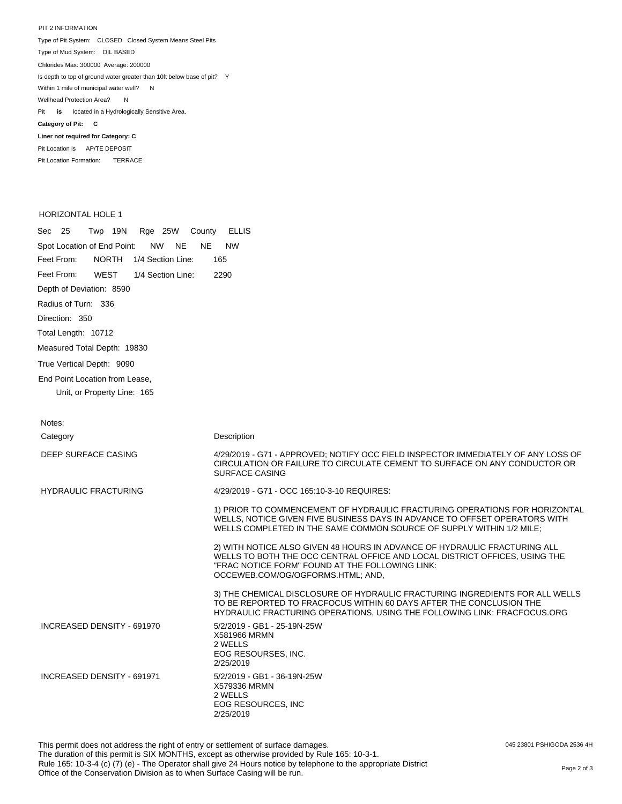PIT 2 INFORMATION Type of Pit System: CLOSED Closed System Means Steel Pits Type of Mud System: OIL BASED Pit **is** located in a Hydrologically Sensitive Area. **Category of Pit: C Liner not required for Category: C** Pit Location is AP/TE DEPOSIT Chlorides Max: 300000 Average: 200000 Is depth to top of ground water greater than 10ft below base of pit? Y Within 1 mile of municipal water well? N Wellhead Protection Area? N

HORIZONTAL HOLE 1

 $\ddotsc$ 

Pit Location Formation: TERRACE

|                                |                                    |  |  |  |  |  |                                        | Sec 25 Twp 19N Rge 25W County ELLIS |  |
|--------------------------------|------------------------------------|--|--|--|--|--|----------------------------------------|-------------------------------------|--|
|                                |                                    |  |  |  |  |  | Spot Location of End Point: NW NE NE   | <b>NW</b>                           |  |
|                                | Feet From: NORTH 1/4 Section Line: |  |  |  |  |  |                                        | 165                                 |  |
|                                |                                    |  |  |  |  |  | Feet From: WEST 1/4 Section Line: 2290 |                                     |  |
| Depth of Deviation: 8590       |                                    |  |  |  |  |  |                                        |                                     |  |
| Radius of Turn: 336            |                                    |  |  |  |  |  |                                        |                                     |  |
| Direction: 350                 |                                    |  |  |  |  |  |                                        |                                     |  |
| Total Length: 10712            |                                    |  |  |  |  |  |                                        |                                     |  |
| Measured Total Depth: 19830    |                                    |  |  |  |  |  |                                        |                                     |  |
| True Vertical Depth: 9090      |                                    |  |  |  |  |  |                                        |                                     |  |
| End Point Location from Lease. |                                    |  |  |  |  |  |                                        |                                     |  |
|                                | Unit, or Property Line: 165        |  |  |  |  |  |                                        |                                     |  |
|                                |                                    |  |  |  |  |  |                                        |                                     |  |

| Notes:                      |                                                                                                                                                                                                                                                 |
|-----------------------------|-------------------------------------------------------------------------------------------------------------------------------------------------------------------------------------------------------------------------------------------------|
| Category                    | Description                                                                                                                                                                                                                                     |
| DEEP SURFACE CASING         | 4/29/2019 - G71 - APPROVED; NOTIFY OCC FIELD INSPECTOR IMMEDIATELY OF ANY LOSS OF<br>CIRCULATION OR FAILURE TO CIRCULATE CEMENT TO SURFACE ON ANY CONDUCTOR OR<br><b>SURFACE CASING</b>                                                         |
| <b>HYDRAULIC FRACTURING</b> | 4/29/2019 - G71 - OCC 165:10-3-10 REQUIRES:                                                                                                                                                                                                     |
|                             | 1) PRIOR TO COMMENCEMENT OF HYDRAULIC FRACTURING OPERATIONS FOR HORIZONTAL<br>WELLS, NOTICE GIVEN FIVE BUSINESS DAYS IN ADVANCE TO OFFSET OPERATORS WITH<br>WELLS COMPLETED IN THE SAME COMMON SOURCE OF SUPPLY WITHIN 1/2 MILE:                |
|                             | 2) WITH NOTICE ALSO GIVEN 48 HOURS IN ADVANCE OF HYDRAULIC FRACTURING ALL<br>WELLS TO BOTH THE OCC CENTRAL OFFICE AND LOCAL DISTRICT OFFICES. USING THE<br>"FRAC NOTICE FORM" FOUND AT THE FOLLOWING LINK:<br>OCCEWEB.COM/OG/OGFORMS.HTML; AND, |
|                             | 3) THE CHEMICAL DISCLOSURE OF HYDRAULIC FRACTURING INGREDIENTS FOR ALL WELLS<br>TO BE REPORTED TO FRACFOCUS WITHIN 60 DAYS AFTER THE CONCLUSION THE<br>HYDRAULIC FRACTURING OPERATIONS, USING THE FOLLOWING LINK: FRACFOCUS.ORG                 |
| INCREASED DENSITY - 691970  | 5/2/2019 - GB1 - 25-19N-25W<br>X581966 MRMN<br>2 WELLS<br>EOG RESOURSES, INC.<br>2/25/2019                                                                                                                                                      |
| INCREASED DENSITY - 691971  | 5/2/2019 - GB1 - 36-19N-25W<br>X579336 MRMN<br>2 WELLS<br>EOG RESOURCES, INC.<br>2/25/2019                                                                                                                                                      |

045 23801 PSHIGODA 2536 4H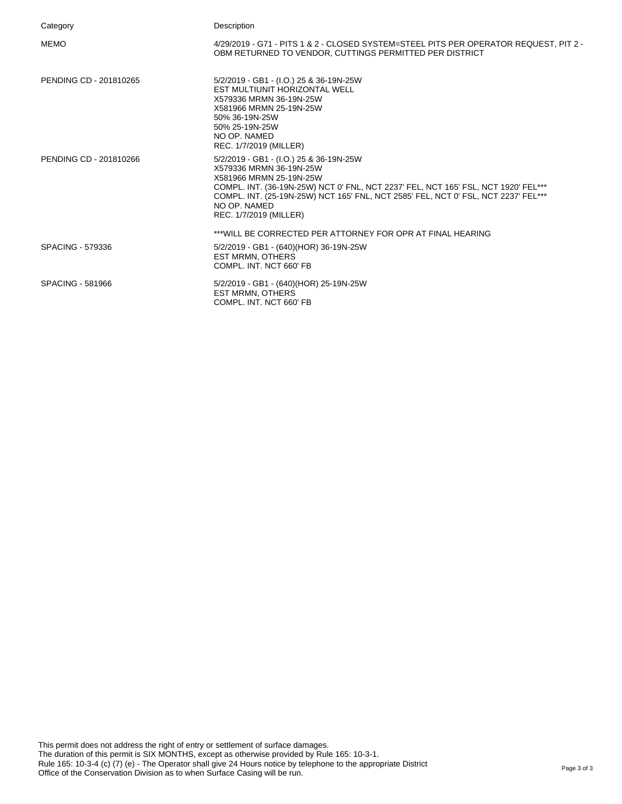| Category                | Description                                                                                                                                                                                                                                                                                                         |
|-------------------------|---------------------------------------------------------------------------------------------------------------------------------------------------------------------------------------------------------------------------------------------------------------------------------------------------------------------|
| <b>MEMO</b>             | 4/29/2019 - G71 - PITS 1 & 2 - CLOSED SYSTEM=STEEL PITS PER OPERATOR REQUEST, PIT 2 -<br>OBM RETURNED TO VENDOR, CUTTINGS PERMITTED PER DISTRICT                                                                                                                                                                    |
| PENDING CD - 201810265  | 5/2/2019 - GB1 - (I.O.) 25 & 36-19N-25W<br>EST MULTIUNIT HORIZONTAL WELL<br>X579336 MRMN 36-19N-25W<br>X581966 MRMN 25-19N-25W<br>50% 36-19N-25W<br>50% 25-19N-25W<br>NO OP. NAMED<br>REC. 1/7/2019 (MILLER)                                                                                                        |
| PENDING CD - 201810266  | 5/2/2019 - GB1 - (I.O.) 25 & 36-19N-25W<br>X579336 MRMN 36-19N-25W<br>X581966 MRMN 25-19N-25W<br>COMPL. INT. (36-19N-25W) NCT 0' FNL, NCT 2237' FEL, NCT 165' FSL, NCT 1920' FEL***<br>COMPL. INT. (25-19N-25W) NCT 165' FNL, NCT 2585' FEL, NCT 0' FSL, NCT 2237' FEL***<br>NO OP. NAMED<br>REC. 1/7/2019 (MILLER) |
|                         | ***WILL BE CORRECTED PER ATTORNEY FOR OPR AT FINAL HEARING                                                                                                                                                                                                                                                          |
| <b>SPACING - 579336</b> | 5/2/2019 - GB1 - (640)(HOR) 36-19N-25W<br><b>EST MRMN, OTHERS</b><br>COMPL. INT. NCT 660' FB                                                                                                                                                                                                                        |
| SPACING - 581966        | 5/2/2019 - GB1 - (640)(HOR) 25-19N-25W<br><b>EST MRMN, OTHERS</b><br>COMPL. INT. NCT 660' FB                                                                                                                                                                                                                        |